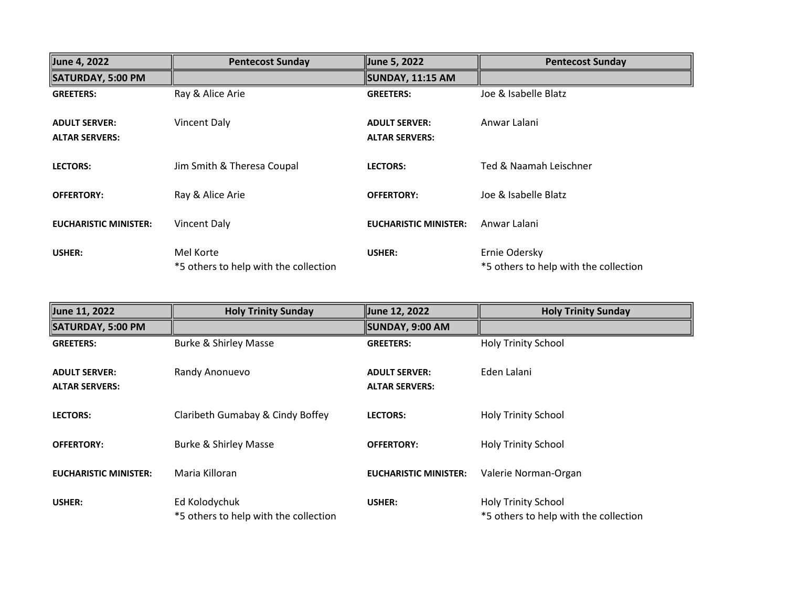| June 4, 2022                                  | <b>Pentecost Sunday</b>                            | June 5, 2022                                  | <b>Pentecost Sunday</b>                                |
|-----------------------------------------------|----------------------------------------------------|-----------------------------------------------|--------------------------------------------------------|
| SATURDAY, 5:00 PM                             |                                                    | SUNDAY, 11:15 AM                              |                                                        |
| <b>GREETERS:</b>                              | Ray & Alice Arie                                   | <b>GREETERS:</b>                              | Joe & Isabelle Blatz                                   |
| <b>ADULT SERVER:</b><br><b>ALTAR SERVERS:</b> | Vincent Daly                                       | <b>ADULT SERVER:</b><br><b>ALTAR SERVERS:</b> | Anwar Lalani                                           |
| <b>LECTORS:</b>                               | Jim Smith & Theresa Coupal                         | <b>LECTORS:</b>                               | Ted & Naamah Leischner                                 |
| <b>OFFERTORY:</b>                             | Ray & Alice Arie                                   | <b>OFFERTORY:</b>                             | Joe & Isabelle Blatz                                   |
| <b>EUCHARISTIC MINISTER:</b>                  | <b>Vincent Daly</b>                                | <b>EUCHARISTIC MINISTER:</b>                  | Anwar Lalani                                           |
| USHER:                                        | Mel Korte<br>*5 others to help with the collection | USHER:                                        | Ernie Odersky<br>*5 others to help with the collection |

| June 11, 2022                                 | <b>Holy Trinity Sunday</b>                             | June 12, 2022                                 | <b>Holy Trinity Sunday</b>                                          |
|-----------------------------------------------|--------------------------------------------------------|-----------------------------------------------|---------------------------------------------------------------------|
| SATURDAY, 5:00 PM                             |                                                        | SUNDAY, 9:00 AM                               |                                                                     |
| <b>GREETERS:</b>                              | <b>Burke &amp; Shirley Masse</b>                       | <b>GREETERS:</b>                              | <b>Holy Trinity School</b>                                          |
| <b>ADULT SERVER:</b><br><b>ALTAR SERVERS:</b> | Randy Anonuevo                                         | <b>ADULT SERVER:</b><br><b>ALTAR SERVERS:</b> | Eden Lalani                                                         |
| <b>LECTORS:</b>                               | Claribeth Gumabay & Cindy Boffey                       | <b>LECTORS:</b>                               | <b>Holy Trinity School</b>                                          |
| <b>OFFERTORY:</b>                             | <b>Burke &amp; Shirley Masse</b>                       | <b>OFFERTORY:</b>                             | <b>Holy Trinity School</b>                                          |
| <b>EUCHARISTIC MINISTER:</b>                  | Maria Killoran                                         | <b>EUCHARISTIC MINISTER:</b>                  | Valerie Norman-Organ                                                |
| USHER:                                        | Ed Kolodychuk<br>*5 others to help with the collection | USHER:                                        | <b>Holy Trinity School</b><br>*5 others to help with the collection |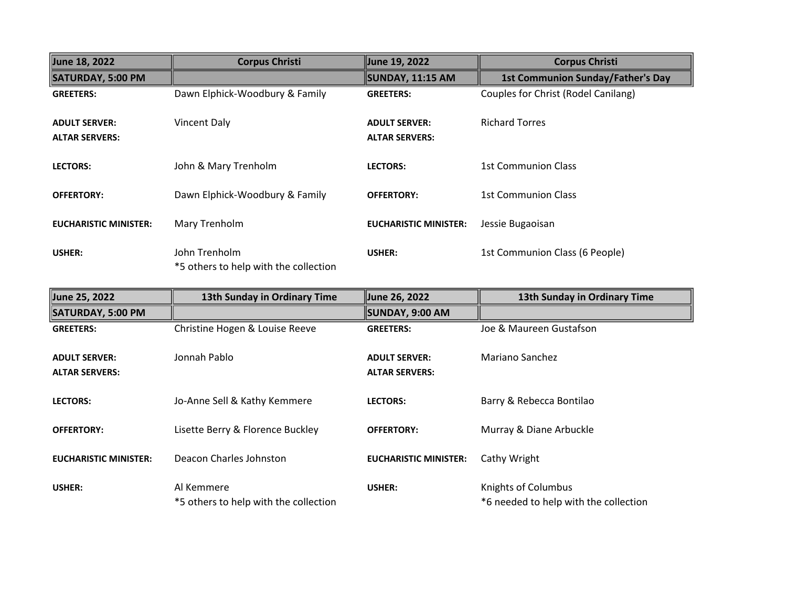| June 18, 2022                                 | <b>Corpus Christi</b>                                  | June 19, 2022                                 | <b>Corpus Christi</b>                    |
|-----------------------------------------------|--------------------------------------------------------|-----------------------------------------------|------------------------------------------|
| <b>SATURDAY, 5:00 PM</b>                      |                                                        | SUNDAY, 11:15 AM                              | <b>1st Communion Sunday/Father's Day</b> |
| <b>GREETERS:</b>                              | Dawn Elphick-Woodbury & Family                         | <b>GREETERS:</b>                              | Couples for Christ (Rodel Canilang)      |
| <b>ADULT SERVER:</b><br><b>ALTAR SERVERS:</b> | Vincent Daly                                           | <b>ADULT SERVER:</b><br><b>ALTAR SERVERS:</b> | <b>Richard Torres</b>                    |
| <b>LECTORS:</b>                               | John & Mary Trenholm                                   | <b>LECTORS:</b>                               | 1st Communion Class                      |
| <b>OFFERTORY:</b>                             | Dawn Elphick-Woodbury & Family                         | <b>OFFERTORY:</b>                             | <b>1st Communion Class</b>               |
| <b>EUCHARISTIC MINISTER:</b>                  | Mary Trenholm                                          | <b>EUCHARISTIC MINISTER:</b>                  | Jessie Bugaoisan                         |
| USHER:                                        | John Trenholm<br>*5 others to help with the collection | USHER:                                        | 1st Communion Class (6 People)           |

| June 25, 2022                                 | 13th Sunday in Ordinary Time                        | June 26, 2022                                 | 13th Sunday in Ordinary Time                                 |
|-----------------------------------------------|-----------------------------------------------------|-----------------------------------------------|--------------------------------------------------------------|
| SATURDAY, 5:00 PM                             |                                                     | SUNDAY, 9:00 AM                               |                                                              |
| <b>GREETERS:</b>                              | Christine Hogen & Louise Reeve                      | <b>GREETERS:</b>                              | Joe & Maureen Gustafson                                      |
| <b>ADULT SERVER:</b><br><b>ALTAR SERVERS:</b> | Jonnah Pablo                                        | <b>ADULT SERVER:</b><br><b>ALTAR SERVERS:</b> | Mariano Sanchez                                              |
| <b>LECTORS:</b>                               | Jo-Anne Sell & Kathy Kemmere                        | <b>LECTORS:</b>                               | Barry & Rebecca Bontilao                                     |
| <b>OFFERTORY:</b>                             | Lisette Berry & Florence Buckley                    | <b>OFFERTORY:</b>                             | Murray & Diane Arbuckle                                      |
| <b>EUCHARISTIC MINISTER:</b>                  | Deacon Charles Johnston                             | <b>EUCHARISTIC MINISTER:</b>                  | Cathy Wright                                                 |
| USHER:                                        | Al Kemmere<br>*5 others to help with the collection | USHER:                                        | Knights of Columbus<br>*6 needed to help with the collection |